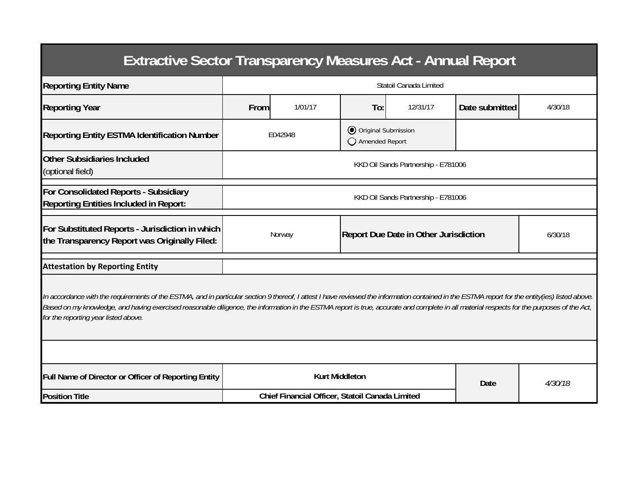| <b>Extractive Sector Transparency Measures Act - Annual Report</b>                                                                                                                                                                                                                                                                                                                                                                    |                                                 |         |                                         |                                              |                |         |  |  |  |  |
|---------------------------------------------------------------------------------------------------------------------------------------------------------------------------------------------------------------------------------------------------------------------------------------------------------------------------------------------------------------------------------------------------------------------------------------|-------------------------------------------------|---------|-----------------------------------------|----------------------------------------------|----------------|---------|--|--|--|--|
| <b>Reporting Entity Name</b>                                                                                                                                                                                                                                                                                                                                                                                                          | Statoil Canada Limited                          |         |                                         |                                              |                |         |  |  |  |  |
| <b>Reporting Year</b>                                                                                                                                                                                                                                                                                                                                                                                                                 | From                                            | 1/01/17 | To:                                     | 12/31/17                                     | Date submitted | 4/30/18 |  |  |  |  |
| <b>Reporting Entity ESTMA Identification Number</b>                                                                                                                                                                                                                                                                                                                                                                                   |                                                 | E042948 | O Original Submission<br>Amended Report |                                              |                |         |  |  |  |  |
| <b>Other Subsidiaries Included</b><br>(optional field)                                                                                                                                                                                                                                                                                                                                                                                | KKD Oil Sands Partnership - E781006             |         |                                         |                                              |                |         |  |  |  |  |
| For Consolidated Reports - Subsidiary<br><b>Reporting Entities Included in Report:</b>                                                                                                                                                                                                                                                                                                                                                | KKD Oil Sands Partnership - E781006             |         |                                         |                                              |                |         |  |  |  |  |
| For Substituted Reports - Jurisdiction in which<br>the Transparency Report was Originally Filed:                                                                                                                                                                                                                                                                                                                                      |                                                 | Norway  |                                         | <b>Report Due Date in Other Jurisdiction</b> |                | 6/30/18 |  |  |  |  |
| <b>Attestation by Reporting Entity</b>                                                                                                                                                                                                                                                                                                                                                                                                |                                                 |         |                                         |                                              |                |         |  |  |  |  |
| In accordance with the requirements of the ESTMA, and in particular section 9 thereof, I attest I have reviewed the information contained in the ESTMA report for the entity(ies) listed above.<br>Based on my knowledge, and having exercised reasonable diligence, the information in the ESTMA report is true, accurate and complete in all material respects for the purposes of the Act,<br>for the reporting year listed above. |                                                 |         |                                         |                                              |                |         |  |  |  |  |
|                                                                                                                                                                                                                                                                                                                                                                                                                                       |                                                 |         |                                         |                                              |                |         |  |  |  |  |
| Full Name of Director or Officer of Reporting Entity                                                                                                                                                                                                                                                                                                                                                                                  | <b>Kurt Middleton</b>                           |         |                                         |                                              | Date           | 4/30/18 |  |  |  |  |
| <b>Position Title</b>                                                                                                                                                                                                                                                                                                                                                                                                                 | Chief Financial Officer, Statoil Canada Limited |         |                                         |                                              |                |         |  |  |  |  |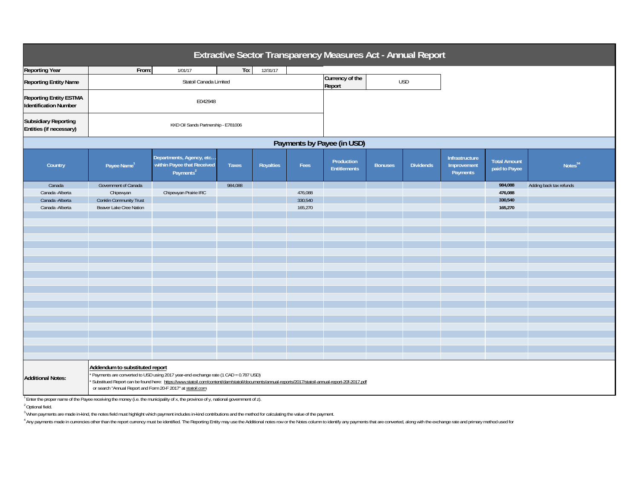| Extractive Sector Transparency Measures Act - Annual Report                                                                                                                                                                                                                                                                                                             |                                     |                                                                                 |              |           |         |                                   |                |                  |                                           |                                      |                         |
|-------------------------------------------------------------------------------------------------------------------------------------------------------------------------------------------------------------------------------------------------------------------------------------------------------------------------------------------------------------------------|-------------------------------------|---------------------------------------------------------------------------------|--------------|-----------|---------|-----------------------------------|----------------|------------------|-------------------------------------------|--------------------------------------|-------------------------|
| <b>Reporting Year</b>                                                                                                                                                                                                                                                                                                                                                   | From:                               | 1/01/17                                                                         | To:          | 12/31/17  |         |                                   |                |                  |                                           |                                      |                         |
| <b>Reporting Entity Name</b>                                                                                                                                                                                                                                                                                                                                            | Statoil Canada Limited              |                                                                                 |              |           |         | Currency of the<br>Report         |                | <b>USD</b>       |                                           |                                      |                         |
| <b>Reporting Entity ESTMA</b><br><b>Identification Number</b>                                                                                                                                                                                                                                                                                                           | E042948                             |                                                                                 |              |           |         |                                   |                |                  |                                           |                                      |                         |
| <b>Subsidiary Reporting</b><br>Entities (if necessary)                                                                                                                                                                                                                                                                                                                  | KKD Oil Sands Partnership - E781006 |                                                                                 |              |           |         |                                   |                |                  |                                           |                                      |                         |
| Payments by Payee (in USD)                                                                                                                                                                                                                                                                                                                                              |                                     |                                                                                 |              |           |         |                                   |                |                  |                                           |                                      |                         |
| Country                                                                                                                                                                                                                                                                                                                                                                 | Payee Name <sup>1</sup>             | Departments, Agency, etc<br>within Payee that Received<br>Payments <sup>2</sup> | <b>Taxes</b> | Royalties | Fees    | Production<br><b>Entitlements</b> | <b>Bonuses</b> | <b>Dividends</b> | Infrastructure<br>Improvement<br>Payments | <b>Total Amount</b><br>paid to Payee | Notes <sup>34</sup>     |
| Canada                                                                                                                                                                                                                                                                                                                                                                  | Government of Canada                |                                                                                 | 984,088      |           |         |                                   |                |                  |                                           | 984,088                              | Adding back tax refunds |
| Canada - Alberta                                                                                                                                                                                                                                                                                                                                                        | Chipewyan                           | Chipewyan Prairie IRC                                                           |              |           | 476,088 |                                   |                |                  |                                           | 476,088                              |                         |
| Canada - Alberta                                                                                                                                                                                                                                                                                                                                                        | <b>Conklin Community Trust</b>      |                                                                                 |              |           | 330,540 |                                   |                |                  |                                           | 330,540                              |                         |
| Canada - Alberta                                                                                                                                                                                                                                                                                                                                                        | Beaver Lake Cree Nation             |                                                                                 |              |           | 165,270 |                                   |                |                  |                                           | 165,270                              |                         |
|                                                                                                                                                                                                                                                                                                                                                                         |                                     |                                                                                 |              |           |         |                                   |                |                  |                                           |                                      |                         |
|                                                                                                                                                                                                                                                                                                                                                                         |                                     |                                                                                 |              |           |         |                                   |                |                  |                                           |                                      |                         |
|                                                                                                                                                                                                                                                                                                                                                                         |                                     |                                                                                 |              |           |         |                                   |                |                  |                                           |                                      |                         |
|                                                                                                                                                                                                                                                                                                                                                                         |                                     |                                                                                 |              |           |         |                                   |                |                  |                                           |                                      |                         |
|                                                                                                                                                                                                                                                                                                                                                                         |                                     |                                                                                 |              |           |         |                                   |                |                  |                                           |                                      |                         |
|                                                                                                                                                                                                                                                                                                                                                                         |                                     |                                                                                 |              |           |         |                                   |                |                  |                                           |                                      |                         |
|                                                                                                                                                                                                                                                                                                                                                                         |                                     |                                                                                 |              |           |         |                                   |                |                  |                                           |                                      |                         |
|                                                                                                                                                                                                                                                                                                                                                                         |                                     |                                                                                 |              |           |         |                                   |                |                  |                                           |                                      |                         |
|                                                                                                                                                                                                                                                                                                                                                                         |                                     |                                                                                 |              |           |         |                                   |                |                  |                                           |                                      |                         |
|                                                                                                                                                                                                                                                                                                                                                                         |                                     |                                                                                 |              |           |         |                                   |                |                  |                                           |                                      |                         |
|                                                                                                                                                                                                                                                                                                                                                                         |                                     |                                                                                 |              |           |         |                                   |                |                  |                                           |                                      |                         |
|                                                                                                                                                                                                                                                                                                                                                                         |                                     |                                                                                 |              |           |         |                                   |                |                  |                                           |                                      |                         |
|                                                                                                                                                                                                                                                                                                                                                                         |                                     |                                                                                 |              |           |         |                                   |                |                  |                                           |                                      |                         |
|                                                                                                                                                                                                                                                                                                                                                                         |                                     |                                                                                 |              |           |         |                                   |                |                  |                                           |                                      |                         |
|                                                                                                                                                                                                                                                                                                                                                                         |                                     |                                                                                 |              |           |         |                                   |                |                  |                                           |                                      |                         |
|                                                                                                                                                                                                                                                                                                                                                                         |                                     |                                                                                 |              |           |         |                                   |                |                  |                                           |                                      |                         |
|                                                                                                                                                                                                                                                                                                                                                                         |                                     |                                                                                 |              |           |         |                                   |                |                  |                                           |                                      |                         |
|                                                                                                                                                                                                                                                                                                                                                                         |                                     |                                                                                 |              |           |         |                                   |                |                  |                                           |                                      |                         |
| Addendum to substituted report<br>* Payments are converted to USD using 2017 year-end exchange rate (1 CAD = 0.787 USD)<br><b>Additional Notes:</b><br>Substitued Report can be found here: https://www.statoil.com/content/dam/statoil/documents/annual-reports/2017/statoil-annual-report-20f-2017.pdf<br>or search "Annual Report and Form 20-F 2017" at statoil.com |                                     |                                                                                 |              |           |         |                                   |                |                  |                                           |                                      |                         |

 $^7$  Enter the proper name of the Payee receiving the money (i.e. the municipality of x, the province of y, national government of z).

2 Optional field.

<sup>3</sup> When payments are made in-kind, the notes field must highlight which payment includes in-kind contributions and the method for calculating the value of the payment.

4 Any payments made in currencies other than the report currency must be identified. The Reporting Entity may use the Additional notes row or the Notes column to identify any payments that are converted, along with the exc